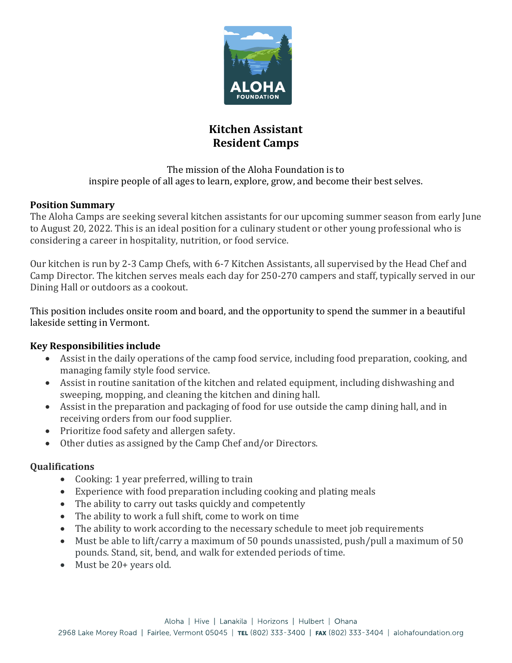

# **Kitchen Assistant Resident Camps**

The mission of the Aloha Foundation is to inspire people of all ages to learn, explore, grow, and become their best selves.

## **Position Summary**

The Aloha Camps are seeking several kitchen assistants for our upcoming summer season from early June to August 20, 2022. This is an ideal position for a culinary student or other young professional who is considering a career in hospitality, nutrition, or food service.

Our kitchen is run by 2-3 Camp Chefs, with 6-7 Kitchen Assistants, all supervised by the Head Chef and Camp Director. The kitchen serves meals each day for 250-270 campers and staff, typically served in our Dining Hall or outdoors as a cookout.

This position includes onsite room and board, and the opportunity to spend the summer in a beautiful lakeside setting in Vermont.

# **Key Responsibilities include**

- Assist in the daily operations of the camp food service, including food preparation, cooking, and managing family style food service.
- Assist in routine sanitation of the kitchen and related equipment, including dishwashing and sweeping, mopping, and cleaning the kitchen and dining hall.
- Assist in the preparation and packaging of food for use outside the camp dining hall, and in receiving orders from our food supplier.
- Prioritize food safety and allergen safety.
- Other duties as assigned by the Camp Chef and/or Directors.

# **Qualifications**

- Cooking: 1 year preferred, willing to train
- Experience with food preparation including cooking and plating meals
- The ability to carry out tasks quickly and competently
- The ability to work a full shift, come to work on time
- The ability to work according to the necessary schedule to meet job requirements
- Must be able to lift/carry a maximum of 50 pounds unassisted, push/pull a maximum of 50 pounds. Stand, sit, bend, and walk for extended periods of time.
- Must be 20+ years old.